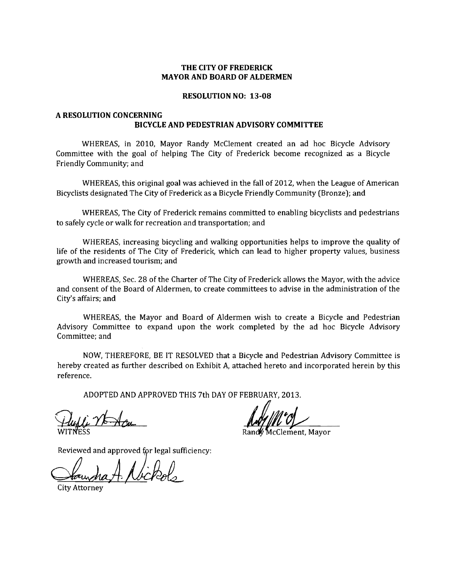### **THE CITY OF FREDERICK** MAYOR AND **BOARD OF ALDERMEN**

#### **RESOLUTION NO: 13-08**

## **A RESOLUTION CONCERNING BICYCLE AND PEDESTRIAN ADVISORY COMMITTEE**

WHEREAS, in 2010, Mayor Randy McClement created an ad hoc Bicycle Advisory Committee with the goal of helping The City of Frederick become recognized as a Bicycle Friendly Community; and

WHEREAS, this original goal was achieved in the fall of 2012, when the League of American Bicyclists designated The City of Frederick as a Bicycle Friendly Community (Bronze); and

WHEREAS, The City of Frederick remains committed to enabling bicyclists and pedestrians to safely cycle or walk for recreation and transportation; and

WHEREAS, increasing bicycling and walking opportunities helps to improve the quality of life of the residents of The City of Frederick, which can lead to higher property values, business growth and increased tourism; and

WHEREAS, Sec. 28 of the Charter of The City of Frederick allows the Mayor, with the advice and consent of the Board of Aldermen, to create committees to advise in the administration of the City's affairs; and

WHEREAS, the Mayor and Board of Aldermen wish to create a Bicycle and Pedestrian Advisory Committee to expand upon the work completed by the ad hoc Bicycle Advisory Committee; and

NOW, THEREFORE, BE IT RESOLVED that a Bicycle and Pedestrian Advisory Committee is hereby created as further described on Exhibit A, attached hereto and incorporated herein by this reference.

ADOPTED AND APPROVED THIS 7th DAY OF FEBRUARY, 2013.

*Huffe Nt Acu* 

Reviewed and approved for legal sufficiency:

City Attorney

McClement, Mayor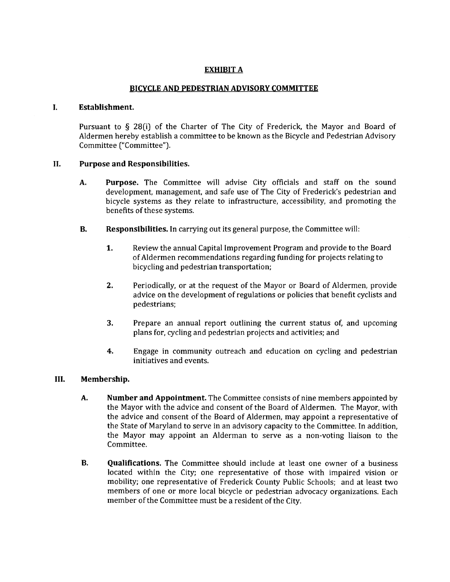# EXHIBIT A

## BICYCLE AND PEDESTRIAN ADVISORY COMMITTEE

#### I. Establishment.

Pursuant to § 28(i) of the Charter of The City of Frederick, the Mayor and Board of Aldermen hereby establish a committee to be known as the Bicycle and Pedestrian Advisory Committee ("Committee").

### II. Purpose and Responsibilities.

- A. Purpose. The Committee will advise City officials and staff on the sound development, management, and safe use of The City of Frederick's pedestrian and bicycle systems as they relate to infrastructure, accessibility, and promoting the benefits of these systems.
- B. Responsibilities. In carrying out its general purpose, the Committee will:
	- 1. Review the annual Capital Improvement Program and provide to the Board of Aldermen recommendations regarding funding for projects relating to bicycling and pedestrian transportation;
	- 2. Periodically, or at the request of the Mayor or Board of Aldermen, provide advice on the development of regulations or policies that benefit cyclists and pedestrians;
	- **3.** Prepare an annual report outlining the current status of, and upcoming plans for, cycling and pedestrian projects and activities; and
	- 4. Engage in community outreach and education on cycling and pedestrian initiatives and events.

### III. Membership.

- A. Number and Appointment. The Committee consists of nine members appointed by the Mayor with the advice and consent of the Board of Aldermen. The Mayor, with the advice and consent of the Board of Aldermen, may appoint a representative of the State of Maryland to serve in an advisory capacity to the Committee. In addition, the Mayor may appoint an Alderman to serve as a non-voting liaison to the Committee.
- **B. Qualifications.** The Committee should include at least one owner of a business located within the City; one representative of those with impaired vision or mobility; one representative of Frederick County Public Schools; and at least two members of one or more local bicycle or pedestrian advocacy organizations. Each member of the Committee must be a resident of the City.